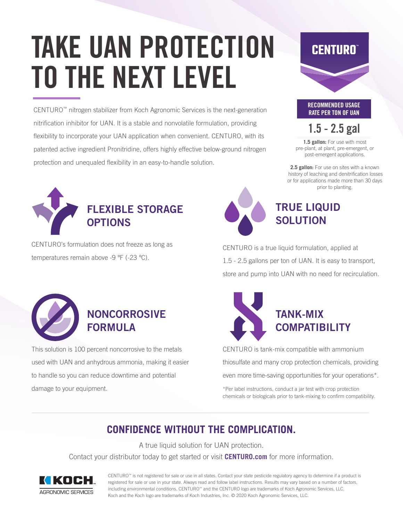# TAKE UAN PROTECTION TO THE NEXT LEVEL

CENTURO™ nitrogen stabilizer from Koch Agronomic Services is the next-generation nitrification inhibitor for UAN. It is a stable and nonvolatile formulation, providing flexibility to incorporate your UAN application when convenient. CENTURO, with its patented active ingredient Pronitridine, offers highly effective below-ground nitrogen protection and unequaled flexibility in an easy-to-handle solution.



CENTURO's formulation does not freeze as long as temperatures remain above -9 ºF (-23 ºC).





### 1.5 - 2.5 gal

1.5 gallon: For use with most pre-plant, at plant, pre-emergent, or post-emergent applications.

**2.5 gallon:** For use on sites with a known history of leaching and denitrification losses or for applications made more than 30 days prior to planting.



TRUE LIQUID **SOLUTION** 

CENTURO is a true liquid formulation, applied at 1.5 - 2.5 gallons per ton of UAN. It is easy to transport, store and pump into UAN with no need for recirculation.



## NONCORROSIVE FORMULA

This solution is 100 percent noncorrosive to the metals used with UAN and anhydrous ammonia, making it easier to handle so you can reduce downtime and potential damage to your equipment.



CENTURO is tank-mix compatible with ammonium thiosulfate and many crop protection chemicals, providing even more time-saving opportunities for your operations\*.

\*Per label instructions, conduct a jar test with crop protection chemicals or biologicals prior to tank-mixing to confirm compatibility.

### **CONFIDENCE WITHOUT THE COMPLICATION.**

A true liquid solution for UAN protection. Contact your distributor today to get started or visit **CENTURO.com** for more information.



CENTURO™ is not registered for sale or use in all states. Contact your state pesticide regulatory agency to determine if a product is registered for sale or use in your state. Always read and follow label instructions. Results may vary based on a number of factors, including environmental conditions. CENTURO™ and the CENTURO logo are trademarks of Koch Agronomic Services, LLC. Koch and the Koch logo are trademarks of Koch Industries, Inc. © 2020 Koch Agronomic Services, LLC.